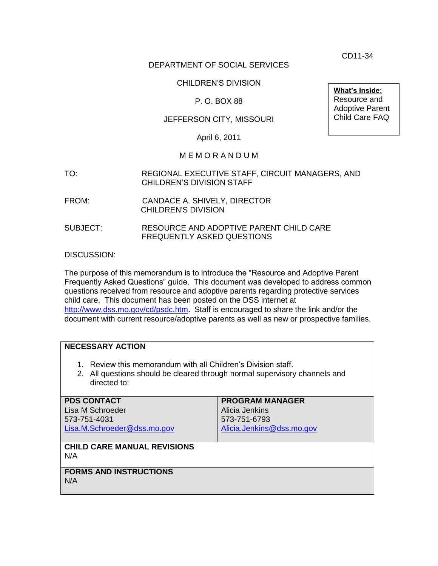CD11-34

# DEPARTMENT OF SOCIAL SERVICES

# CHILDREN'S DIVISION

# P. O. BOX 88

# JEFFERSON CITY, MISSOURI

April 6, 2011

#### M E M O R A N D U M

- TO: REGIONAL EXECUTIVE STAFF, CIRCUIT MANAGERS, AND CHILDREN'S DIVISION STAFF
- FROM: CANDACE A. SHIVELY, DIRECTOR CHILDREN'S DIVISION
- SUBJECT: RESOURCE AND ADOPTIVE PARENT CHILD CARE FREQUENTLY ASKED QUESTIONS

DISCUSSION:

The purpose of this memorandum is to introduce the "Resource and Adoptive Parent Frequently Asked Questions" guide. This document was developed to address common questions received from resource and adoptive parents regarding protective services child care. This document has been posted on the DSS internet at <http://www.dss.mo.gov/cd/psdc.htm>. Staff is encouraged to share the link and/or the document with current resource/adoptive parents as well as new or prospective families.

### **NECESSARY ACTION**

- 1. Review this memorandum with all Children's Division staff.
- 2. All questions should be cleared through normal supervisory channels and directed to:

| <b>PDS CONTACT</b><br>Lisa M Schroeder<br>573-751-4031<br>Lisa.M.Schroeder@dss.mo.gov | <b>PROGRAM MANAGER</b><br>Alicia Jenkins<br>573-751-6793<br>Alicia.Jenkins@dss.mo.gov |
|---------------------------------------------------------------------------------------|---------------------------------------------------------------------------------------|
| <b>CHILD CARE MANUAL REVISIONS</b><br>N/A                                             |                                                                                       |
| <b>FORMS AND INSTRUCTIONS</b><br>N/A                                                  |                                                                                       |

**What's Inside:** Resource and Adoptive Parent Child Care FAQ